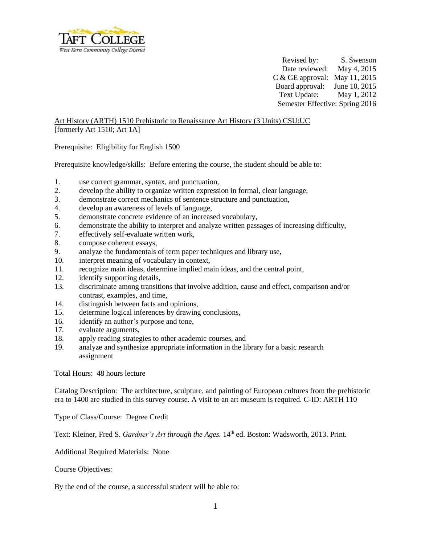

Revised by: S. Swenson Date reviewed: May 4, 2015 C & GE approval: May 11, 2015 Board approval: June 10, 2015 Text Update: May 1, 2012 Semester Effective: Spring 2016

Art History (ARTH) 1510 Prehistoric to Renaissance Art History (3 Units) CSU:UC [formerly Art 1510; Art 1A]

Prerequisite: Eligibility for English 1500

Prerequisite knowledge/skills: Before entering the course, the student should be able to:

- 1. use correct grammar, syntax, and punctuation,
- 2. develop the ability to organize written expression in formal, clear language,
- 3. demonstrate correct mechanics of sentence structure and punctuation,
- 4. develop an awareness of levels of language,
- 5. demonstrate concrete evidence of an increased vocabulary,
- 6. demonstrate the ability to interpret and analyze written passages of increasing difficulty,
- 7. effectively self-evaluate written work,
- 8. compose coherent essays,
- 9. analyze the fundamentals of term paper techniques and library use,
- 10. interpret meaning of vocabulary in context,
- 11. recognize main ideas, determine implied main ideas, and the central point,
- 12. identify supporting details,
- 13. discriminate among transitions that involve addition, cause and effect, comparison and/or contrast, examples, and time,
- 14. distinguish between facts and opinions,
- 15. determine logical inferences by drawing conclusions,
- 16. identify an author's purpose and tone,
- 17. evaluate arguments,
- 18. apply reading strategies to other academic courses, and
- 19. analyze and synthesize appropriate information in the library for a basic research assignment

Total Hours: 48 hours lecture

Catalog Description: The architecture, sculpture, and painting of European cultures from the prehistoric era to 1400 are studied in this survey course. A visit to an art museum is required. C-ID: ARTH 110

Type of Class/Course: Degree Credit

Text: Kleiner, Fred S. *Gardner's Art through the Ages*. 14<sup>th</sup> ed. Boston: Wadsworth, 2013. Print.

Additional Required Materials: None

Course Objectives:

By the end of the course, a successful student will be able to: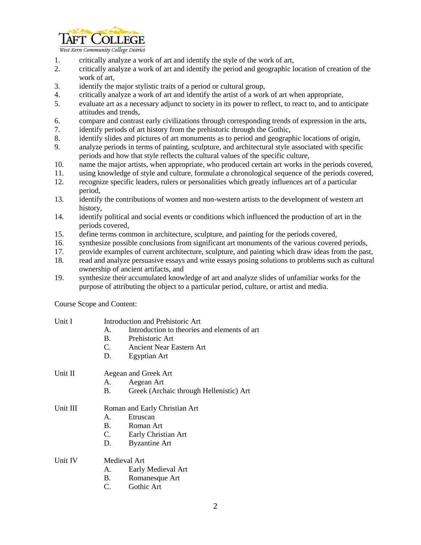

West Kern Community College District

- 1. critically analyze a work of art and identify the style of the work of art,
- 2. critically analyze a work of art and identify the period and geographic location of creation of the work of art,
- 3. identify the major stylistic traits of a period or cultural group,
- 4. critically analyze a work of art and identify the artist of a work of art when appropriate,
- 5. evaluate art as a necessary adjunct to society in its power to reflect, to react to, and to anticipate attitudes and trends,
- 6. compare and contrast early civilizations through corresponding trends of expression in the arts,
- 7. identify periods of art history from the prehistoric through the Gothic,
- 8. identify slides and pictures of art monuments as to period and geographic locations of origin,
- 9. analyze periods in terms of painting, sculpture, and architectural style associated with specific periods and how that style reflects the cultural values of the specific culture,
- 10. name the major artists, when appropriate, who produced certain art works in the periods covered,
- 11. using knowledge of style and culture, formulate a chronological sequence of the periods covered,
- 12. recognize specific leaders, rulers or personalities which greatly influences art of a particular period,
- 13. identify the contributions of women and non-western artists to the development of western art history,
- 14. identify political and social events or conditions which influenced the production of art in the periods covered,
- 15. define terms common in architecture, sculpture, and painting for the periods covered,
- 16. synthesize possible conclusions from significant art monuments of the various covered periods,
- 17. provide examples of current architecture, sculpture, and painting which draw ideas from the past,
- 18. read and analyze persuasive essays and write essays posing solutions to problems such as cultural ownership of ancient artifacts, and
- 19. synthesize their accumulated knowledge of art and analyze slides of unfamiliar works for the purpose of attributing the object to a particular period, culture, or artist and media.

Course Scope and Content:

| Unit I   | $A_{-}$<br><b>B.</b><br>D.    | Introduction and Prehistoric Art<br>Introduction to theories and elements of art<br>Prehistoric Art<br>C. Ancient Near Eastern Art<br>Egyptian Art |  |
|----------|-------------------------------|----------------------------------------------------------------------------------------------------------------------------------------------------|--|
| Unit II  | Aegean and Greek Art          |                                                                                                                                                    |  |
|          | А.                            | Aegean Art                                                                                                                                         |  |
|          | B.                            | Greek (Archaic through Hellenistic) Art                                                                                                            |  |
| Unit III | Roman and Early Christian Art |                                                                                                                                                    |  |
|          | $A_{-}$                       | Etruscan                                                                                                                                           |  |
|          | $\mathbf{B}$ .                | Roman Art                                                                                                                                          |  |
|          | C.                            | Early Christian Art                                                                                                                                |  |
|          | D.                            | <b>Byzantine Art</b>                                                                                                                               |  |
| Unit IV  | Medieval Art                  |                                                                                                                                                    |  |
|          | A.                            | Early Medieval Art                                                                                                                                 |  |
|          | <b>B.</b>                     | Romanesque Art                                                                                                                                     |  |
|          | C.                            | Gothic Art                                                                                                                                         |  |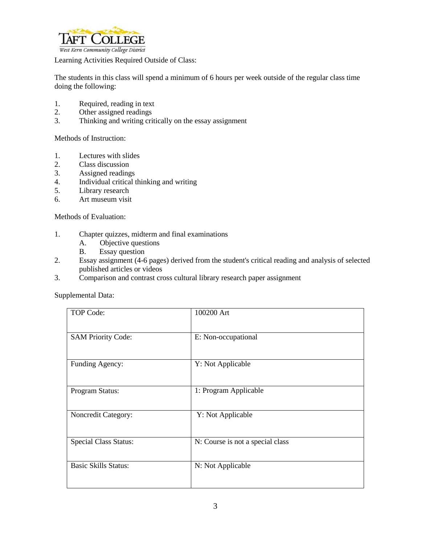

Learning Activities Required Outside of Class:

The students in this class will spend a minimum of 6 hours per week outside of the regular class time doing the following:

- 1. Required, reading in text
- 2. Other assigned readings
- 3. Thinking and writing critically on the essay assignment

Methods of Instruction:

- 1. Lectures with slides
- 2. Class discussion
- 3. Assigned readings
- 4. Individual critical thinking and writing<br>5. Library research
- Library research
- 6. Art museum visit

Methods of Evaluation:

- 1. Chapter quizzes, midterm and final examinations
	- A. Objective questions
	- B. Essay question
- 2. Essay assignment (4-6 pages) derived from the student's critical reading and analysis of selected published articles or videos
- 3. Comparison and contrast cross cultural library research paper assignment

Supplemental Data:

| TOP Code:                    | 100200 Art                       |
|------------------------------|----------------------------------|
| <b>SAM Priority Code:</b>    | E: Non-occupational              |
| Funding Agency:              | Y: Not Applicable                |
| Program Status:              | 1: Program Applicable            |
| Noncredit Category:          | Y: Not Applicable                |
| <b>Special Class Status:</b> | N: Course is not a special class |
| <b>Basic Skills Status:</b>  | N: Not Applicable                |